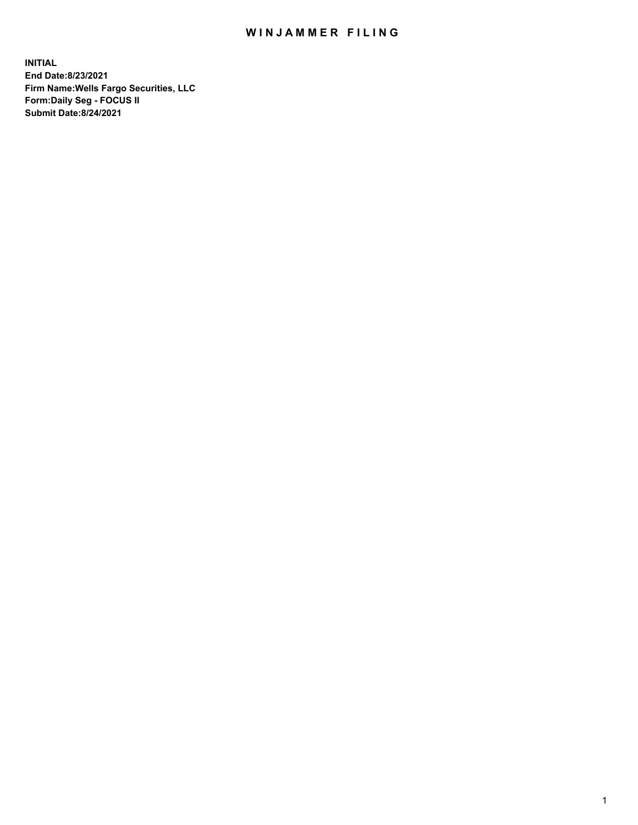## WIN JAMMER FILING

**INITIAL End Date:8/23/2021 Firm Name:Wells Fargo Securities, LLC Form:Daily Seg - FOCUS II Submit Date:8/24/2021**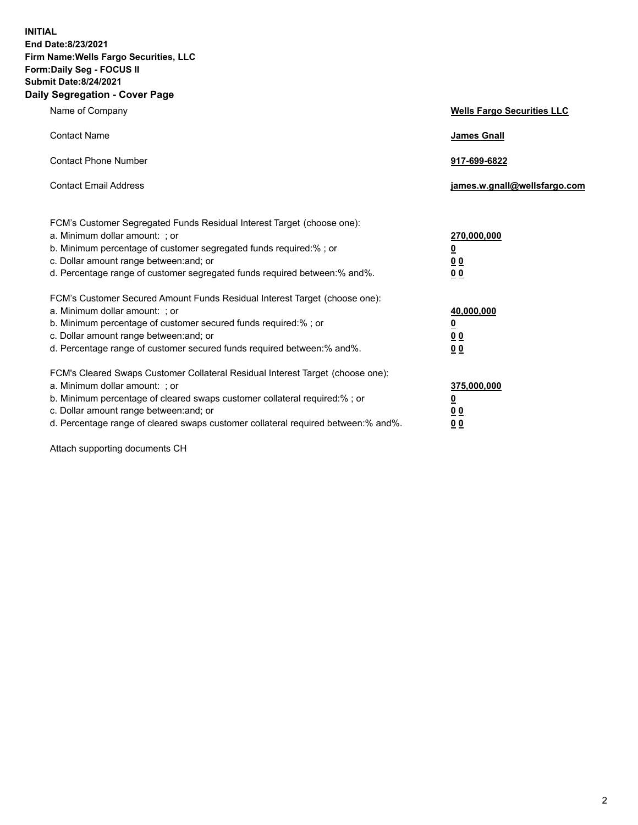**INITIAL End Date:8/23/2021 Firm Name:Wells Fargo Securities, LLC Form:Daily Seg - FOCUS II Submit Date:8/24/2021 Daily Segregation - Cover Page**

| Name of Company                                                                                                                                                                                                                                                                                                                | <b>Wells Fargo Securities LLC</b>                           |
|--------------------------------------------------------------------------------------------------------------------------------------------------------------------------------------------------------------------------------------------------------------------------------------------------------------------------------|-------------------------------------------------------------|
| <b>Contact Name</b>                                                                                                                                                                                                                                                                                                            | James Gnall                                                 |
| <b>Contact Phone Number</b>                                                                                                                                                                                                                                                                                                    | 917-699-6822                                                |
| <b>Contact Email Address</b>                                                                                                                                                                                                                                                                                                   | james.w.gnall@wellsfargo.com                                |
| FCM's Customer Segregated Funds Residual Interest Target (choose one):<br>a. Minimum dollar amount: ; or<br>b. Minimum percentage of customer segregated funds required:% ; or<br>c. Dollar amount range between: and; or<br>d. Percentage range of customer segregated funds required between: % and %.                       | 270,000,000<br><u>0</u><br>0 <sub>0</sub><br>0 <sub>0</sub> |
| FCM's Customer Secured Amount Funds Residual Interest Target (choose one):<br>a. Minimum dollar amount: ; or<br>b. Minimum percentage of customer secured funds required: % ; or<br>c. Dollar amount range between: and; or<br>d. Percentage range of customer secured funds required between:% and%.                          | 40,000,000<br><u>0</u><br>0 <sub>0</sub><br>0 <sub>0</sub>  |
| FCM's Cleared Swaps Customer Collateral Residual Interest Target (choose one):<br>a. Minimum dollar amount: ; or<br>b. Minimum percentage of cleared swaps customer collateral required:% ; or<br>c. Dollar amount range between: and; or<br>d. Percentage range of cleared swaps customer collateral required between:% and%. | 375,000,000<br><u>0</u><br>00<br>00                         |

Attach supporting documents CH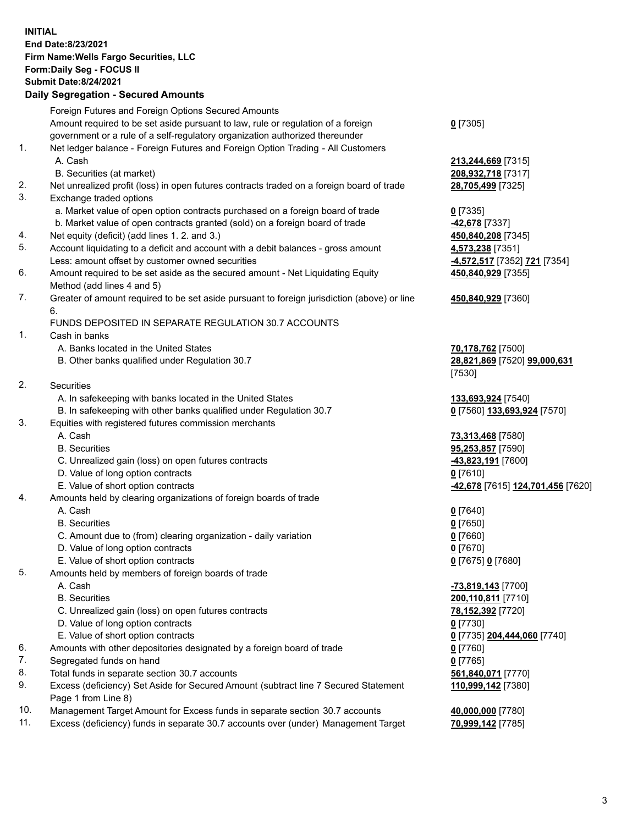**INITIAL End Date:8/23/2021 Firm Name:Wells Fargo Securities, LLC Form:Daily Seg - FOCUS II Submit Date:8/24/2021**

## **Daily Segregation - Secured Amounts**

|                 | Foreign Futures and Foreign Options Secured Amounts                                               |                                   |
|-----------------|---------------------------------------------------------------------------------------------------|-----------------------------------|
|                 | Amount required to be set aside pursuant to law, rule or regulation of a foreign                  | $0$ [7305]                        |
|                 | government or a rule of a self-regulatory organization authorized thereunder                      |                                   |
| 1.              | Net ledger balance - Foreign Futures and Foreign Option Trading - All Customers                   |                                   |
|                 | A. Cash                                                                                           | 213,244,669 [7315]                |
|                 | B. Securities (at market)                                                                         | 208,932,718 [7317]                |
| 2.              | Net unrealized profit (loss) in open futures contracts traded on a foreign board of trade         | 28,705,499 [7325]                 |
| 3.              | Exchange traded options                                                                           |                                   |
|                 | a. Market value of open option contracts purchased on a foreign board of trade                    | $0$ [7335]                        |
|                 | b. Market value of open contracts granted (sold) on a foreign board of trade                      | 42,678 [7337]                     |
| 4.              | Net equity (deficit) (add lines 1. 2. and 3.)                                                     | 450,840,208 [7345]                |
| 5.              | Account liquidating to a deficit and account with a debit balances - gross amount                 | 4,573,238 [7351]                  |
|                 | Less: amount offset by customer owned securities                                                  | -4,572,517 [7352] 721 [7354]      |
| 6.              | Amount required to be set aside as the secured amount - Net Liquidating Equity                    | 450,840,929 [7355]                |
|                 | Method (add lines 4 and 5)                                                                        |                                   |
| 7.              | Greater of amount required to be set aside pursuant to foreign jurisdiction (above) or line<br>6. | 450,840,929 [7360]                |
|                 | FUNDS DEPOSITED IN SEPARATE REGULATION 30.7 ACCOUNTS                                              |                                   |
| 1.              | Cash in banks                                                                                     |                                   |
|                 | A. Banks located in the United States                                                             | 70,178,762 [7500]                 |
|                 | B. Other banks qualified under Regulation 30.7                                                    | 28,821,869 [7520] 99,000,631      |
|                 |                                                                                                   | [7530]                            |
| 2.              | <b>Securities</b>                                                                                 |                                   |
|                 | A. In safekeeping with banks located in the United States                                         |                                   |
|                 |                                                                                                   | 133,693,924 [7540]                |
| 3.              | B. In safekeeping with other banks qualified under Regulation 30.7                                | 0 [7560] 133,693,924 [7570]       |
|                 | Equities with registered futures commission merchants                                             |                                   |
|                 | A. Cash                                                                                           | 73,313,468 [7580]                 |
|                 | <b>B.</b> Securities                                                                              | 95,253,857 [7590]                 |
|                 | C. Unrealized gain (loss) on open futures contracts                                               | 43,823,191 [7600]                 |
|                 | D. Value of long option contracts                                                                 | $0$ [7610]                        |
|                 | E. Value of short option contracts                                                                | -42,678 [7615] 124,701,456 [7620] |
| 4.              | Amounts held by clearing organizations of foreign boards of trade                                 |                                   |
|                 | A. Cash                                                                                           | $0$ [7640]                        |
|                 | <b>B.</b> Securities                                                                              | $0$ [7650]                        |
|                 | C. Amount due to (from) clearing organization - daily variation                                   | $0$ [7660]                        |
|                 | D. Value of long option contracts                                                                 | $0$ [7670]                        |
|                 | E. Value of short option contracts                                                                | 0 [7675] 0 [7680]                 |
| 5.              | Amounts held by members of foreign boards of trade                                                |                                   |
|                 | A. Cash                                                                                           | -73,819,143 [7700]                |
|                 | <b>B.</b> Securities                                                                              | 200,110,811 [7710]                |
|                 | C. Unrealized gain (loss) on open futures contracts                                               | 78,152,392 [7720]                 |
|                 | D. Value of long option contracts                                                                 | $0$ [7730]                        |
|                 | E. Value of short option contracts                                                                | 0 [7735] 204,444,060 [7740]       |
| 6.              | Amounts with other depositories designated by a foreign board of trade                            | $0$ [7760]                        |
| 7.              | Segregated funds on hand                                                                          | $0$ [7765]                        |
| 8.              | Total funds in separate section 30.7 accounts                                                     | 561,840,071 [7770]                |
| 9.              | Excess (deficiency) Set Aside for Secured Amount (subtract line 7 Secured Statement               | 110,999,142 [7380]                |
|                 | Page 1 from Line 8)                                                                               |                                   |
| $\overline{10}$ |                                                                                                   |                                   |

- 10. Management Target Amount for Excess funds in separate section 30.7 accounts **40,000,000** [7780]
- 11. Excess (deficiency) funds in separate 30.7 accounts over (under) Management Target **70,999,142** [7785]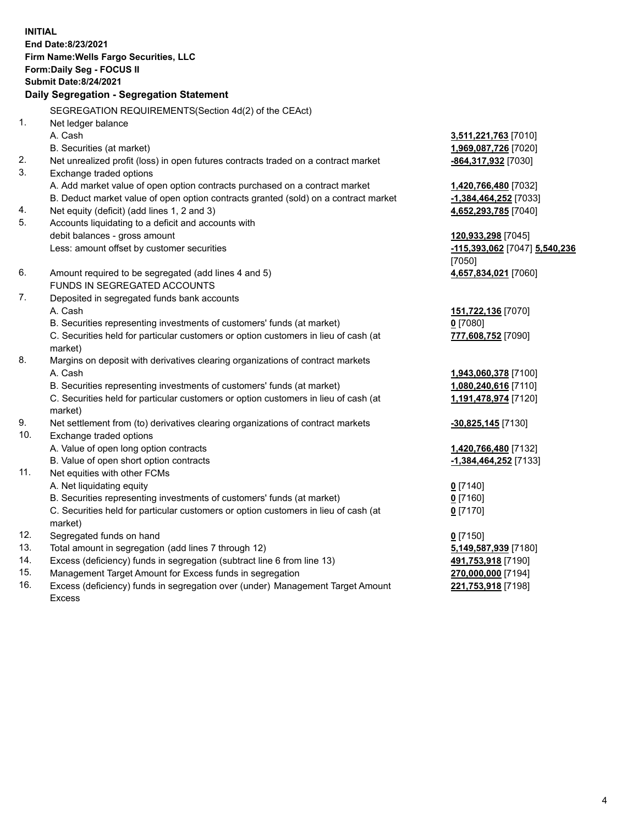**INITIAL End Date:8/23/2021 Firm Name:Wells Fargo Securities, LLC Form:Daily Seg - FOCUS II Submit Date:8/24/2021**

## **Daily Segregation - Segregation Statement**

SEGREGATION REQUIREMENTS(Section 4d(2) of the CEAct)

| 1.  | Net ledger balance                                                                  |                               |
|-----|-------------------------------------------------------------------------------------|-------------------------------|
|     | A. Cash                                                                             | 3,511,221,763 [7010]          |
|     | B. Securities (at market)                                                           | 1,969,087,726 [7020]          |
| 2.  | Net unrealized profit (loss) in open futures contracts traded on a contract market  | -864,317,932 [7030]           |
| 3.  | Exchange traded options                                                             |                               |
|     | A. Add market value of open option contracts purchased on a contract market         | 1,420,766,480 [7032]          |
|     | B. Deduct market value of open option contracts granted (sold) on a contract market | -1,384,464,252 [7033]         |
| 4.  | Net equity (deficit) (add lines 1, 2 and 3)                                         | 4,652,293,785 [7040]          |
| 5.  | Accounts liquidating to a deficit and accounts with                                 |                               |
|     | debit balances - gross amount                                                       | 120,933,298 [7045]            |
|     | Less: amount offset by customer securities                                          | -115,393,062 [7047] 5,540,236 |
|     |                                                                                     | [7050]                        |
| 6.  | Amount required to be segregated (add lines 4 and 5)                                | 4,657,834,021 [7060]          |
|     | FUNDS IN SEGREGATED ACCOUNTS                                                        |                               |
| 7.  | Deposited in segregated funds bank accounts                                         |                               |
|     | A. Cash                                                                             | 151,722,136 [7070]            |
|     | B. Securities representing investments of customers' funds (at market)              | $0$ [7080]                    |
|     | C. Securities held for particular customers or option customers in lieu of cash (at | 777,608,752 [7090]            |
|     | market)                                                                             |                               |
| 8.  | Margins on deposit with derivatives clearing organizations of contract markets      |                               |
|     | A. Cash                                                                             | 1,943,060,378 [7100]          |
|     | B. Securities representing investments of customers' funds (at market)              | 1,080,240,616 [7110]          |
|     | C. Securities held for particular customers or option customers in lieu of cash (at | 1,191,478,974 [7120]          |
|     | market)                                                                             |                               |
| 9.  | Net settlement from (to) derivatives clearing organizations of contract markets     | $-30,825,145$ [7130]          |
| 10. | Exchange traded options                                                             |                               |
|     | A. Value of open long option contracts                                              | 1,420,766,480 [7132]          |
|     | B. Value of open short option contracts                                             | $-1,384,464,252$ [7133]       |
| 11. | Net equities with other FCMs                                                        |                               |
|     | A. Net liquidating equity                                                           | $0$ [7140]                    |
|     | B. Securities representing investments of customers' funds (at market)              | $0$ [7160]                    |
|     | C. Securities held for particular customers or option customers in lieu of cash (at | $0$ [7170]                    |
|     | market)                                                                             |                               |
| 12. | Segregated funds on hand                                                            | $0$ [7150]                    |
| 13. | Total amount in segregation (add lines 7 through 12)                                | 5,149,587,939 [7180]          |
| 14. | Excess (deficiency) funds in segregation (subtract line 6 from line 13)             | 491,753,918 [7190]            |
| 15. | Management Target Amount for Excess funds in segregation                            | 270,000,000 [7194]            |
| 16. | Excess (deficiency) funds in segregation over (under) Management Target Amount      | 221,753,918 [7198]            |
|     | Excess                                                                              |                               |